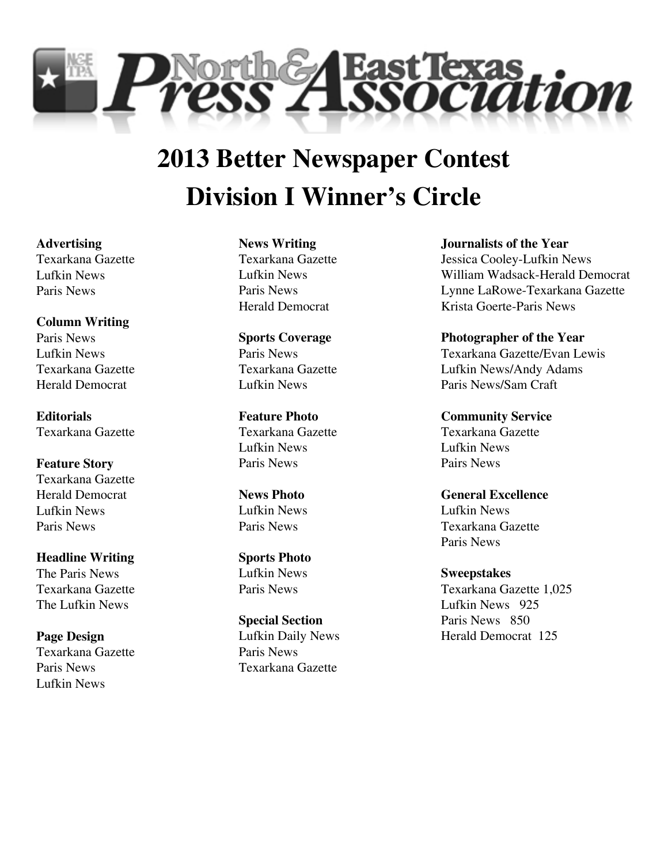

# **Division I Winner's Circle 2013 Better Newspaper Contest**

**Advertising** Texarkana Gazette Lufkin News Paris News

**Column Writing** Paris News Lufkin News Texarkana Gazette Herald Democrat

**Editorials** Texarkana Gazette

**Feature Story** Texarkana Gazette Herald Democrat Lufkin News Paris News

**Headline Writing** The Paris News Texarkana Gazette The Lufkin News

**Page Design** Texarkana Gazette Paris News Lufkin News

**News Writing** Texarkana Gazette Lufkin News Paris News Herald Democrat

**Sports Coverage** Paris News Texarkana Gazette Lufkin News

**Feature Photo** Texarkana Gazette Lufkin News Paris News

**News Photo** Lufkin News Paris News

**Sports Photo** Lufkin News Paris News

**Special Section** Lufkin Daily News Paris News Texarkana Gazette

**Journalists of the Year** Jessica Cooley-Lufkin News William Wadsack-Herald Democrat Lynne LaRowe-Texarkana Gazette Krista Goerte-Paris News

**Photographer of the Year** Texarkana Gazette/Evan Lewis Lufkin News/Andy Adams Paris News/Sam Craft

**Community Service** Texarkana Gazette Lufkin News Pairs News

**General Excellence** Lufkin News Texarkana Gazette Paris News

**Sweepstakes** Texarkana Gazette 1,025 Lufkin News 925 Paris News 850 Herald Democrat 125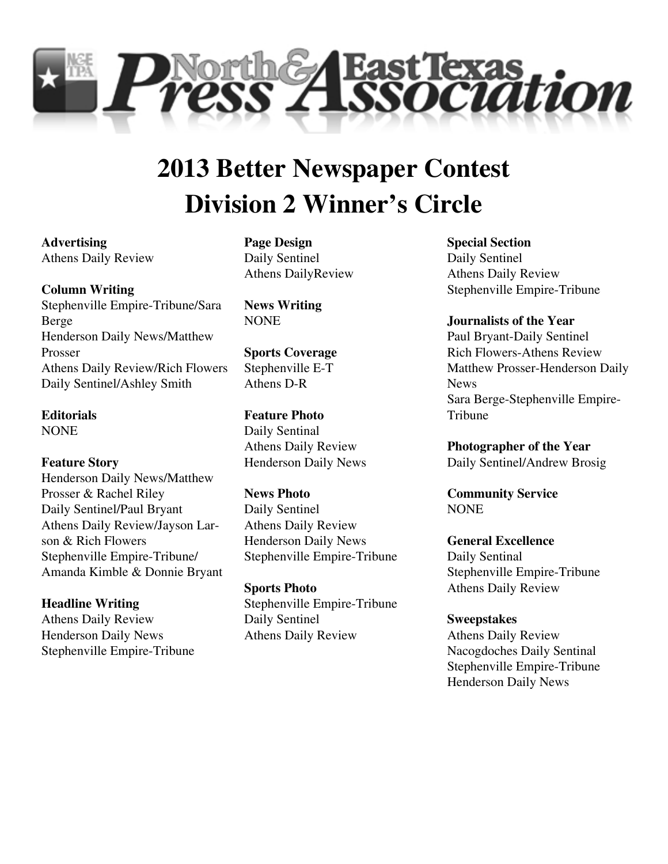

# **Division 2 Winner's Circle 2013 Better Newspaper Contest**

**Advertising** Athens Daily Review

## **Column Writing**

Stephenville Empire-Tribune/Sara Berge Henderson Daily News/Matthew Prosser Athens Daily Review/Rich Flowers Daily Sentinel/Ashley Smith

**Editorials** NONE

## **Feature Story**

Henderson Daily News/Matthew Prosser & Rachel Riley Daily Sentinel/Paul Bryant Athens Daily Review/Jayson Larson & Rich Flowers Stephenville Empire-Tribune/ Amanda Kimble & Donnie Bryant

# **Headline Writing**

Athens Daily Review Henderson Daily News Stephenville Empire-Tribune **Page Design** Daily Sentinel Athens DailyReview

**News Writing** NONE

**Sports Coverage** Stephenville E-T Athens D-R

**Feature Photo** Daily Sentinal Athens Daily Review Henderson Daily News

**News Photo** Daily Sentinel Athens Daily Review Henderson Daily News Stephenville Empire-Tribune

**Sports Photo** Stephenville Empire-Tribune Daily Sentinel Athens Daily Review

**Special Section** Daily Sentinel Athens Daily Review Stephenville Empire-Tribune

**Journalists of the Year** Paul Bryant-Daily Sentinel Rich Flowers-Athens Review Matthew Prosser-Henderson Daily News Sara Berge-Stephenville Empire-Tribune

**Photographer of the Year** Daily Sentinel/Andrew Brosig

**Community Service** NONE

**General Excellence** Daily Sentinal Stephenville Empire-Tribune Athens Daily Review

**Sweepstakes** Athens Daily Review

Nacogdoches Daily Sentinal Stephenville Empire-Tribune Henderson Daily News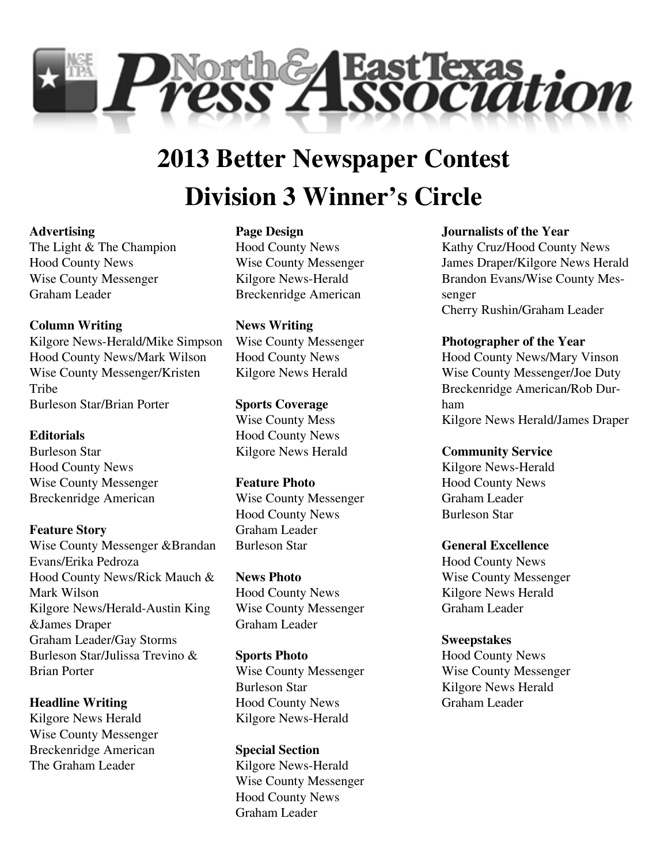

# **Division 3 Winner's Circle 2013 Better Newspaper Contest**

#### **Advertising**

The Light & The Champion Hood County News Wise County Messenger Graham Leader

# **Column Writing**

Kilgore News-Herald/Mike Simpson Hood County News/Mark Wilson Wise County Messenger/Kristen **Tribe** Burleson Star/Brian Porter

# **Editorials**

Burleson Star Hood County News Wise County Messenger Breckenridge American

## **Feature Story**

Wise County Messenger &Brandan Evans/Erika Pedroza Hood County News/Rick Mauch & Mark Wilson Kilgore News/Herald-Austin King &James Draper Graham Leader/Gay Storms Burleson Star/Julissa Trevino & Brian Porter

**Headline Writing** Kilgore News Herald Wise County Messenger Breckenridge American The Graham Leader

# **Page Design** Hood County News Wise County Messenger Kilgore News-Herald Breckenridge American

**News Writing** Wise County Messenger Hood County News Kilgore News Herald

## **Sports Coverage** Wise County Mess Hood County News Kilgore News Herald

## **Feature Photo**

Wise County Messenger Hood County News Graham Leader Burleson Star

**News Photo** Hood County News Wise County Messenger Graham Leader

## **Sports Photo** Wise County Messenger Burleson Star Hood County News Kilgore News-Herald

**Special Section** Kilgore News-Herald Wise County Messenger Hood County News Graham Leader

## **Journalists of the Year**

Kathy Cruz/Hood County News James Draper/Kilgore News Herald Brandon Evans/Wise County Messenger Cherry Rushin/Graham Leader

# **Photographer of the Year**

Hood County News/Mary Vinson Wise County Messenger/Joe Duty Breckenridge American/Rob Durham Kilgore News Herald/James Draper

**Community Service**

Kilgore News-Herald Hood County News Graham Leader Burleson Star

## **General Excellence**

Hood County News Wise County Messenger Kilgore News Herald Graham Leader

# **Sweepstakes**

Hood County News Wise County Messenger Kilgore News Herald Graham Leader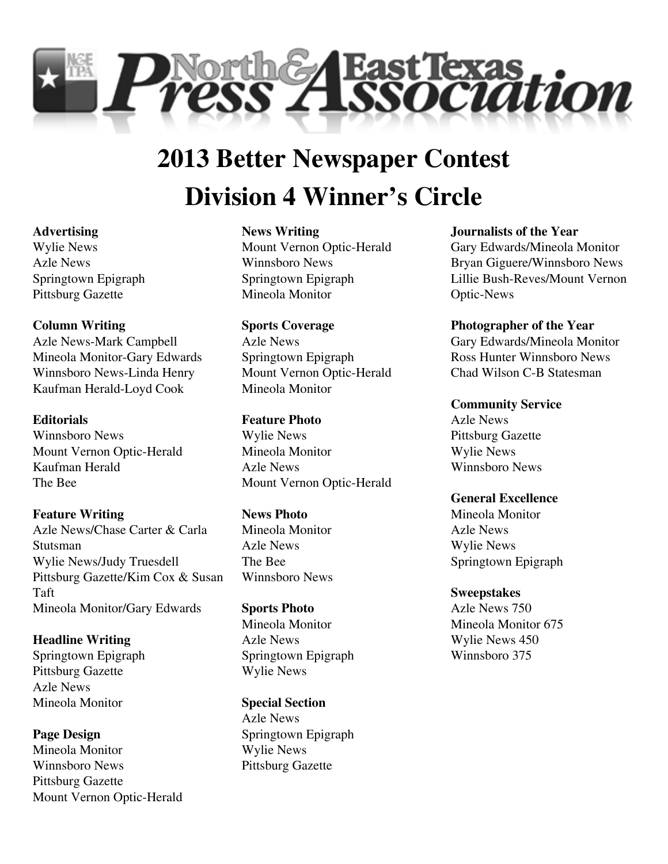

# **Division 4 Winner's Circle 2013 Better Newspaper Contest**

#### **Advertising**

Wylie News Azle News Springtown Epigraph Pittsburg Gazette

## **Column Writing**

Azle News-Mark Campbell Mineola Monitor-Gary Edwards Winnsboro News-Linda Henry Kaufman Herald-Loyd Cook

## **Editorials**

Winnsboro News Mount Vernon Optic-Herald Kaufman Herald The Bee

## **Feature Writing**

Azle News/Chase Carter & Carla Stutsman Wylie News/Judy Truesdell Pittsburg Gazette/Kim Cox & Susan Taft Mineola Monitor/Gary Edwards

**Headline Writing** Springtown Epigraph Pittsburg Gazette Azle News Mineola Monitor

**Page Design** Mineola Monitor Winnsboro News Pittsburg Gazette Mount Vernon Optic-Herald

## **News Writing**

Mount Vernon Optic-Herald Winnsboro News Springtown Epigraph Mineola Monitor

**Sports Coverage** Azle News Springtown Epigraph Mount Vernon Optic-Herald Mineola Monitor

#### **Feature Photo**

Wylie News Mineola Monitor Azle News Mount Vernon Optic-Herald

#### **News Photo**

Mineola Monitor Azle News The Bee Winnsboro News

**Sports Photo** Mineola Monitor Azle News Springtown Epigraph Wylie News

**Special Section** Azle News Springtown Epigraph Wylie News Pittsburg Gazette

## **Journalists of the Year**

Gary Edwards/Mineola Monitor Bryan Giguere/Winnsboro News Lillie Bush-Reves/Mount Vernon Optic-News

#### **Photographer of the Year**

Gary Edwards/Mineola Monitor Ross Hunter Winnsboro News Chad Wilson C-B Statesman

#### **Community Service**

Azle News Pittsburg Gazette Wylie News Winnsboro News

# **General Excellence**

Mineola Monitor Azle News Wylie News Springtown Epigraph

# **Sweepstakes**

Azle News 750 Mineola Monitor 675 Wylie News 450 Winnsboro 375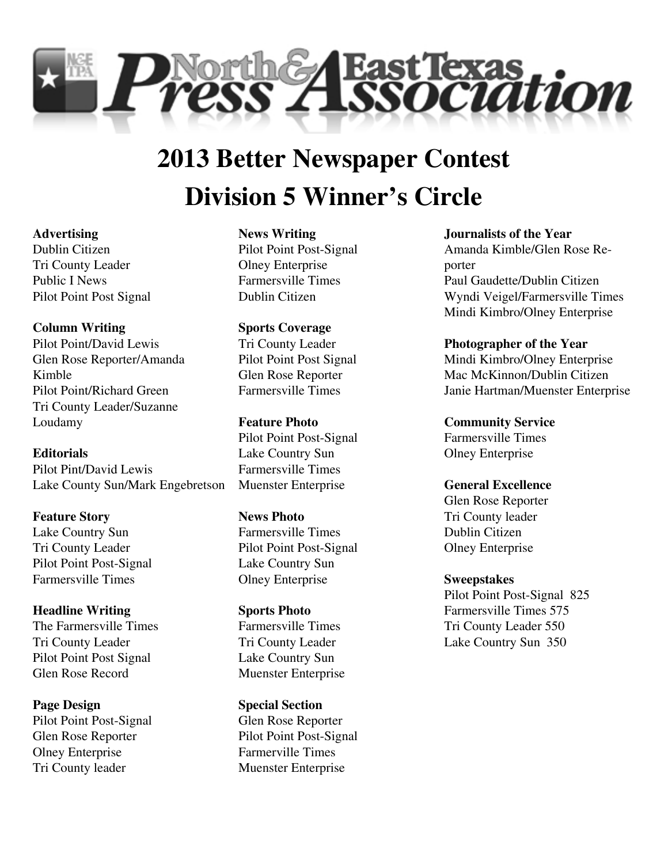

# **Division 5 Winner's Circle 2013 Better Newspaper Contest**

## **Advertising**

Dublin Citizen Tri County Leader Public I News Pilot Point Post Signal

**Column Writing** Pilot Point/David Lewis Glen Rose Reporter/Amanda Kimble Pilot Point/Richard Green Tri County Leader/Suzanne Loudamy

**Editorials** Pilot Pint/David Lewis Lake County Sun/Mark Engebretson

**Feature Story** Lake Country Sun Tri County Leader Pilot Point Post-Signal Farmersville Times

**Headline Writing** The Farmersville Times Tri County Leader Pilot Point Post Signal Glen Rose Record

**Page Design** Pilot Point Post-Signal Glen Rose Reporter Olney Enterprise Tri County leader

#### **News Writing**

Pilot Point Post-Signal Olney Enterprise Farmersville Times Dublin Citizen

**Sports Coverage** Tri County Leader Pilot Point Post Signal Glen Rose Reporter Farmersville Times

**Feature Photo** Pilot Point Post-Signal Lake Country Sun Farmersville Times Muenster Enterprise

**News Photo** Farmersville Times Pilot Point Post-Signal Lake Country Sun Olney Enterprise

**Sports Photo** Farmersville Times Tri County Leader Lake Country Sun Muenster Enterprise

**Special Section** Glen Rose Reporter Pilot Point Post-Signal Farmerville Times Muenster Enterprise

**Journalists of the Year** Amanda Kimble/Glen Rose Reporter Paul Gaudette/Dublin Citizen Wyndi Veigel/Farmersville Times Mindi Kimbro/Olney Enterprise

**Photographer of the Year** Mindi Kimbro/Olney Enterprise Mac McKinnon/Dublin Citizen Janie Hartman/Muenster Enterprise

**Community Service** Farmersville Times Olney Enterprise

**General Excellence**

Glen Rose Reporter Tri County leader Dublin Citizen Olney Enterprise

**Sweepstakes** Pilot Point Post-Signal 825 Farmersville Times 575 Tri County Leader 550

Lake Country Sun 350